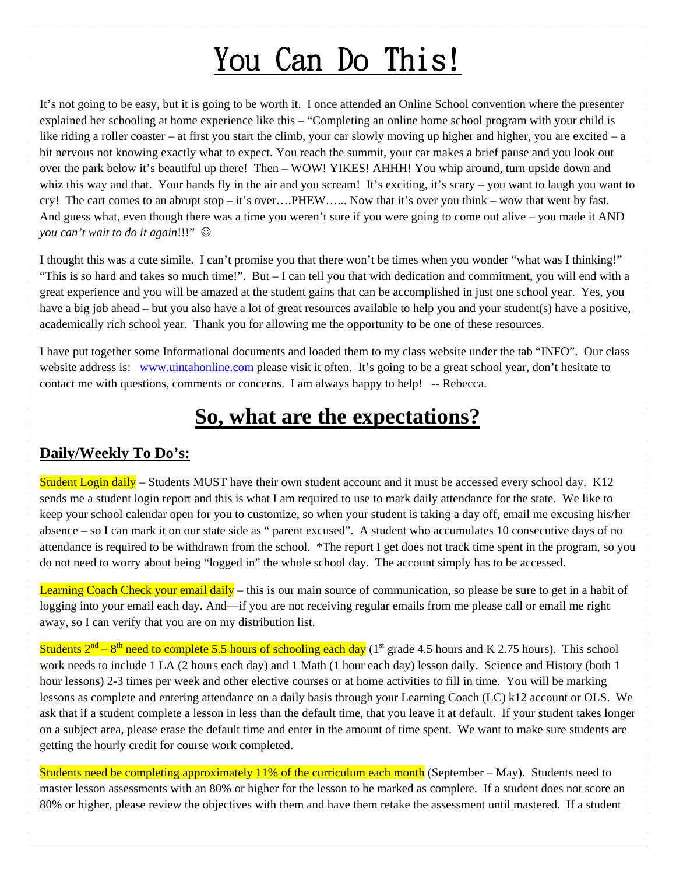## You Can Do This!

It's not going to be easy, but it is going to be worth it. I once attended an Online School convention where the presenter explained her schooling at home experience like this – "Completing an online home school program with your child is like riding a roller coaster – at first you start the climb, your car slowly moving up higher and higher, you are excited – a bit nervous not knowing exactly what to expect. You reach the summit, your car makes a brief pause and you look out over the park below it's beautiful up there! Then – WOW! YIKES! AHHH! You whip around, turn upside down and whiz this way and that. Your hands fly in the air and you scream! It's exciting, it's scary – you want to laugh you want to cry! The cart comes to an abrupt stop – it's over….PHEW…... Now that it's over you think – wow that went by fast. And guess what, even though there was a time you weren't sure if you were going to come out alive – you made it AND *you can't wait to do it again*!!!"  $\odot$ 

I thought this was a cute simile. I can't promise you that there won't be times when you wonder "what was I thinking!" "This is so hard and takes so much time!". But – I can tell you that with dedication and commitment, you will end with a great experience and you will be amazed at the student gains that can be accomplished in just one school year. Yes, you have a big job ahead – but you also have a lot of great resources available to help you and your student(s) have a positive, academically rich school year. Thank you for allowing me the opportunity to be one of these resources.

I have put together some Informational documents and loaded them to my class website under the tab "INFO". Our class website address is: [www.uintahonline.com](http://www.uintahonline.com/) please visit it often. It's going to be a great school year, don't hesitate to contact me with questions, comments or concerns. I am always happy to help! -- Rebecca.

## **So, what are the expectations?**

## **Daily/Weekly To Do's:**

Student Login daily – Students MUST have their own student account and it must be accessed every school day. K12 sends me a student login report and this is what I am required to use to mark daily attendance for the state. We like to keep your school calendar open for you to customize, so when your student is taking a day off, email me excusing his/her absence – so I can mark it on our state side as " parent excused". A student who accumulates 10 consecutive days of no attendance is required to be withdrawn from the school. \*The report I get does not track time spent in the program, so you do not need to worry about being "logged in" the whole school day. The account simply has to be accessed.

Learning Coach Check your email daily – this is our main source of communication, so please be sure to get in a habit of logging into your email each day. And—if you are not receiving regular emails from me please call or email me right away, so I can verify that you are on my distribution list.

Students  $2<sup>nd</sup> - 8<sup>th</sup>$  need to complete 5.5 hours of schooling each day (1<sup>st</sup> grade 4.5 hours and K 2.75 hours). This school work needs to include 1 LA (2 hours each day) and 1 Math (1 hour each day) lesson daily. Science and History (both 1 hour lessons) 2-3 times per week and other elective courses or at home activities to fill in time. You will be marking lessons as complete and entering attendance on a daily basis through your Learning Coach (LC) k12 account or OLS. We ask that if a student complete a lesson in less than the default time, that you leave it at default. If your student takes longer on a subject area, please erase the default time and enter in the amount of time spent. We want to make sure students are getting the hourly credit for course work completed.

Students need be completing approximately 11% of the curriculum each month (September – May). Students need to master lesson assessments with an 80% or higher for the lesson to be marked as complete. If a student does not score an 80% or higher, please review the objectives with them and have them retake the assessment until mastered. If a student